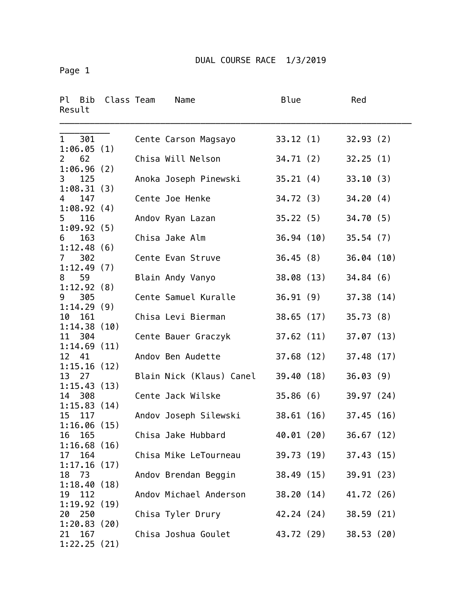Page 1

| Ρl<br>Bib<br>Result                | Class Team | Name                     | <b>Blue</b> |            | Red        |  |
|------------------------------------|------------|--------------------------|-------------|------------|------------|--|
| 301<br>$\mathbf{1}$<br>1:06.05(1)  |            | Cente Carson Magsayo     |             | 33.12(1)   | 32.93(2)   |  |
| 62<br>$\mathbf{2}$<br>1:06.96(2)   |            | Chisa Will Nelson        | 34.71(2)    |            | 32.25(1)   |  |
| 125<br>3<br>1:08.31(3)             |            | Anoka Joseph Pinewski    | 35.21(4)    |            | 33.10(3)   |  |
| 147<br>4                           |            | Cente Joe Henke          | 34.72(3)    |            | 34.20(4)   |  |
| 1:08.92(4)<br>116<br>5             |            | Andov Ryan Lazan         | 35.22(5)    |            | 34.70(5)   |  |
| 1:09.92(5)<br>163<br>6             |            | Chisa Jake Alm           |             | 36.94 (10) | 35.54(7)   |  |
| 1:12.48(6)<br>302<br>$\mathcal{I}$ |            | Cente Evan Struve        |             | 36.45(8)   | 36.04(10)  |  |
| 1:12.49(7)<br>59<br>8              |            | Blain Andy Vanyo         |             | 38.08 (13) | 34.84(6)   |  |
| 1:12.92(8)<br>9<br>305             |            | Cente Samuel Kuralle     | 36.91(9)    |            | 37.38(14)  |  |
| 1:14.29(9)<br>161<br>10            |            | Chisa Levi Bierman       |             | 38.65 (17) | 35.73(8)   |  |
| 1:14.38(10)<br>11<br>304           |            | Cente Bauer Graczyk      |             | 37.62 (11) | 37.07(13)  |  |
| 1:14.69(11)<br>12<br>41            |            | Andov Ben Audette        |             | 37.68 (12) | 37.48(17)  |  |
| 1:15.16(12)<br>13<br>27            |            | Blain Nick (Klaus) Canel | 39.40 (18)  |            | 36.03(9)   |  |
| 1:15.43(13)<br>14<br>308           |            | Cente Jack Wilske        | 35.86(6)    |            | 39.97 (24) |  |
| 1:15.83(14)<br>15<br>117           |            | Andov Joseph Silewski    |             | 38.61(16)  | 37.45(16)  |  |
| 1:16.06(15)<br>165<br>16           |            | Chisa Jake Hubbard       | 40.01 (20)  |            | 36.67(12)  |  |
| 1:16.68(16)<br>164<br>17           |            | Chisa Mike LeTourneau    |             | 39.73 (19) | 37.43(15)  |  |
| 1:17.16(17)<br>73<br>18            |            | Andov Brendan Beggin     |             | 38.49 (15) | 39.91 (23) |  |
| 1:18.40(18)<br>112<br>19           |            | Andov Michael Anderson   |             | 38.20 (14) | 41.72 (26) |  |
| 1:19.92(19)<br>250<br>20           |            | Chisa Tyler Drury        |             | 42.24 (24) | 38.59(21)  |  |
| 1:20.83(20)<br>167<br>21           |            | Chisa Joshua Goulet      |             | 43.72 (29) | 38.53(20)  |  |
| 1:22.25(21)                        |            |                          |             |            |            |  |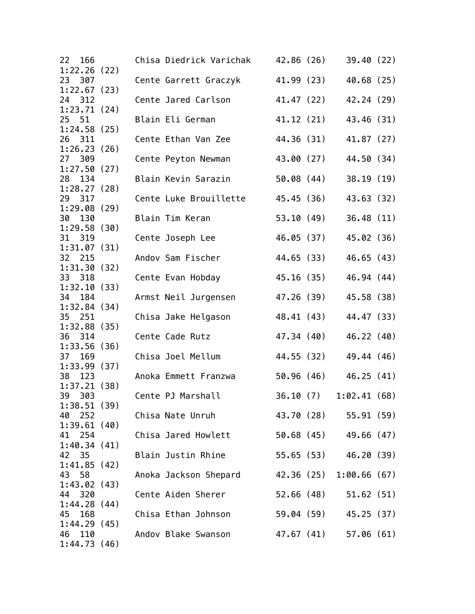| 166<br>22<br>1:22.26(22) |  | Chisa Diedrick Varichak                   | 42.86 (26) |            | 39.40(22)               |  |
|--------------------------|--|-------------------------------------------|------------|------------|-------------------------|--|
| 23<br>307                |  | Cente Garrett Graczyk                     |            | 41.99 (23) | 40.68 (25)              |  |
| 1:22.67(23)<br>24 312    |  | Cente Jared Carlson                       |            | 41.47 (22) | 42.24 (29)              |  |
| 1:23.71(24)<br>25 51     |  | Blain Eli German                          |            | 41.12 (21) | 43.46 (31)              |  |
| 1:24.58(25)              |  |                                           |            |            |                         |  |
| 26 311<br>1:26.23(26)    |  | Cente Ethan Van Zee                       | 44.36 (31) |            | 41.87 (27)              |  |
| 27<br>309                |  | Cente Peyton Newman                       | 43.00 (27) |            | 44.50 (34)              |  |
| 1:27.50(27)<br>28 134    |  | Blain Kevin Sarazin                       | 50.08(44)  |            | 38.19(19)               |  |
| 1:28.27(28)<br>29 317    |  | Cente Luke Brouillette                    |            | 45.45 (36) | 43.63 (32)              |  |
| 1:29.08(29)              |  |                                           |            |            |                         |  |
| 30<br>130<br>1:29.58(30) |  | Blain Tim Keran                           |            | 53.10 (49) | 36.48(11)               |  |
| 31<br>319                |  | Cente Joseph Lee                          |            | 46.05 (37) | 45.02 (36)              |  |
| 1:31.07(31)<br>32 215    |  | Andov Sam Fischer                         |            | 44.65 (33) | 46.65(43)               |  |
| 1:31.30(32)              |  |                                           |            |            |                         |  |
| 33 318<br>1:32.10(33)    |  | Cente Evan Hobday                         | 45.16(35)  |            | 46.94 (44)              |  |
| 34<br>184                |  | Armst Neil Jurgensen                      | 47.26 (39) |            | 45.58 (38)              |  |
| 1:32.84(34)<br>35<br>251 |  | Chisa Jake Helgason                       |            | 48.41 (43) | 44.47 (33)              |  |
| 1:32.88(35)              |  |                                           |            |            |                         |  |
| 36 314<br>1:33.56(36)    |  | Cente Cade Rutz                           | 47.34 (40) |            | 46.22 (40)              |  |
| 169<br>37                |  | Chisa Joel Mellum                         |            | 44.55 (32) | 49.44 (46)              |  |
| 1:33.99(37)<br>38<br>123 |  | Anoka Emmett Franzwa                      |            | 50.96 (46) | 46.25(41)               |  |
| 1:37.21(38)              |  |                                           |            |            |                         |  |
| 39<br>303<br>1:38.51(39) |  | Cente PJ Marshall                         | 36.10(7)   |            | 1:02.41(68)             |  |
| 40 252                   |  | Chisa Nate Unruh                          |            |            | 43.70 (28) 55.91 (59)   |  |
| 1:39.61(40)<br>41 254    |  | Chisa Jared Howlett 50.68 (45) 49.66 (47) |            |            |                         |  |
| 1:40.34(41)              |  |                                           |            |            |                         |  |
| 42<br>-35                |  | Blain Justin Rhine                        |            |            | 55.65 (53) 46.20 (39)   |  |
| 1:41.85(42)<br>43<br>58  |  | Anoka Jackson Shepard                     |            |            | 42.36 (25) 1:00.66 (67) |  |
| 1:43.02(43)              |  |                                           |            |            |                         |  |
| 44 320<br>1:44.28(44)    |  | Cente Aiden Sherer                        |            | 52.66 (48) | 51.62(51)               |  |
| 168<br>45                |  | Chisa Ethan Johnson                       |            |            | 59.04 (59) 45.25 (37)   |  |
| 1:44.29(45)<br>46<br>110 |  | Andov Blake Swanson                       |            |            | 47.67 (41) 57.06 (61)   |  |
| 1:44.73(46)              |  |                                           |            |            |                         |  |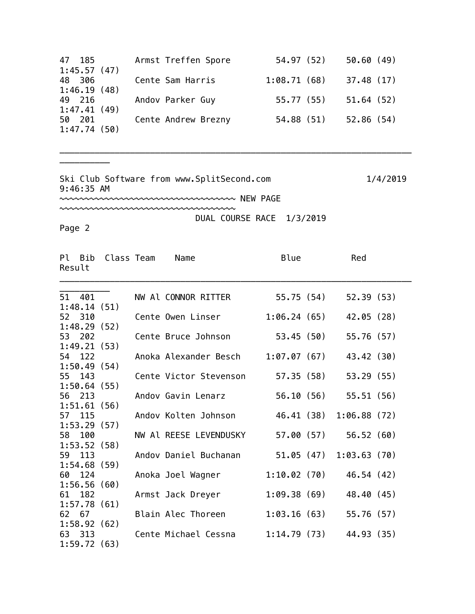| 47 185      | Armst Treffen Spore | 54.97 (52)  | 50.60(49)  |
|-------------|---------------------|-------------|------------|
| 1:45.57(47) |                     |             |            |
| 48 306      | Cente Sam Harris    | 1:08.71(68) | 37.48(17)  |
| 1:46.19(48) |                     |             |            |
| 49 216      | Andov Parker Guy    | 55.77 (55)  | 51.64 (52) |
| 1:47.41(49) |                     |             |            |
| 50 201      | Cente Andrew Brezny | 54.88 (51)  | 52.86(54)  |
| 1:47.74(50) |                     |             |            |

\_\_\_\_\_\_\_\_\_\_\_\_\_\_\_\_\_\_\_\_\_\_\_\_\_\_\_\_\_\_\_\_\_\_\_\_\_\_\_\_\_\_\_\_\_\_\_\_\_\_\_\_\_\_\_\_\_\_\_\_\_\_\_\_\_\_\_\_\_\_

Ski Club Software from www.SplitSecond.com 1/4/2019 9:46:35 AM

~~~~~~~~~~~~~~~~~~~~~~~~~~~~~~~~~~~ NEW PAGE

~~~~~~~~~~~~~~~~~~~~~~~~~~~~~~~~~~~

DUAL COURSE RACE 1/3/2019

Page 2

\_\_\_\_\_\_\_\_\_\_

| Result | Pl Bib | Class Team  | Name                   | Blue         | Red                       |  |
|--------|--------|-------------|------------------------|--------------|---------------------------|--|
| 51 401 |        |             | NW Al CONNOR RITTER    | 55.75 (54)   | 52.39(53)                 |  |
|        |        | 1:48.14(51) |                        |              |                           |  |
| 52 310 |        |             | Cente Owen Linser      | 1:06.24(65)  | 42.05 (28)                |  |
|        |        | 1:48.29(52) |                        |              |                           |  |
| 53 202 |        |             | Cente Bruce Johnson    | 53.45 (50)   | 55.76 (57)                |  |
|        |        | 1:49.21(53) |                        |              |                           |  |
| 54 122 |        |             | Anoka Alexander Besch  | 1:07.07 (67) | 43.42 (30)                |  |
|        |        | 1:50.49(54) |                        |              |                           |  |
| 55 143 |        |             | Cente Victor Stevenson | 57.35 (58)   | 53.29 (55)                |  |
|        |        | 1:50.64(55) |                        |              |                           |  |
| 56     | 213    |             | Andov Gavin Lenarz     | 56.10 (56)   | 55.51(56)                 |  |
|        |        | 1:51.61(56) |                        |              |                           |  |
| 57 115 |        | 1:53.29(57) | Andov Kolten Johnson   | 46.41 (38)   | 1:06.88(72)               |  |
| 58     | 100    |             | NW Al REESE LEVENDUSKY | 57.00 (57)   | 56.52(60)                 |  |
|        |        | 1:53.52(58) |                        |              |                           |  |
| 59 113 |        |             | Andov Daniel Buchanan  |              | $51.05(47)$ $1:03.63(70)$ |  |
|        |        | 1:54.68(59) |                        |              |                           |  |
| 60 124 |        |             | Anoka Joel Wagner      | 1:10.02(70)  | 46.54 (42)                |  |
|        |        | 1:56.56(60) |                        |              |                           |  |
| 61     | 182    |             | Armst Jack Dreyer      | 1:09.38(69)  | 48.40 (45)                |  |
|        |        | 1:57.78(61) |                        |              |                           |  |
| 62 67  |        |             | Blain Alec Thoreen     | 1:03.16(63)  | 55.76 (57)                |  |
|        |        | 1:58.92(62) |                        |              |                           |  |
| 63 313 |        |             | Cente Michael Cessna   | 1:14.79(73)  | 44.93 (35)                |  |
|        |        | 1:59.72(63) |                        |              |                           |  |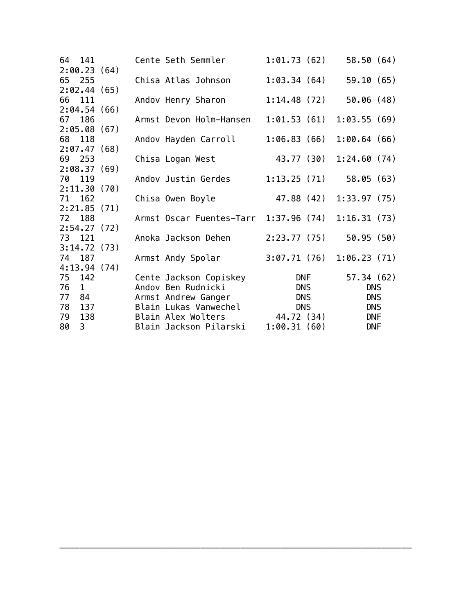| 64 141    |             | Cente Seth Semmler                    | 1:01.73(62) |            | 58.50(64)   |  |
|-----------|-------------|---------------------------------------|-------------|------------|-------------|--|
|           | 2:00.23(64) |                                       |             |            |             |  |
| 65 255    |             | Chisa Atlas Johnson                   | 1:03.34(64) |            | 59.10(65)   |  |
|           | 2:02.44(65) |                                       |             |            |             |  |
| 66 111    |             | Andov Henry Sharon                    | 1:14.48(72) |            | 50.06(48)   |  |
|           | 2:04.54(66) |                                       |             |            |             |  |
| 67 186    |             | Armst Devon Holm-Hansen               | 1:01.53(61) |            | 1:03.55(69) |  |
|           | 2:05.08(67) |                                       |             |            |             |  |
| 68 118    |             | Andov Hayden Carroll                  | 1:06.83(66) |            | 1:00.64(66) |  |
|           | 2:07.47(68) |                                       |             |            |             |  |
| 69 253    |             | Chisa Logan West                      | 43.77 (30)  |            | 1:24.60(74) |  |
|           | 2:08.37(69) |                                       |             |            |             |  |
| 70 119    |             | Andov Justin Gerdes                   | 1:13.25(71) |            | 58.05(63)   |  |
|           | 2:11.30(70) |                                       |             |            |             |  |
| 71 162    |             | Chisa Owen Boyle                      | 47.88 (42)  |            | 1:33.97(75) |  |
|           | 2:21.85(71) |                                       |             |            |             |  |
| 72 188    |             | Armst Oscar Fuentes-Tarr 1:37.96 (74) |             |            | 1:16.31(73) |  |
|           | 2:54.27(72) |                                       |             |            |             |  |
| 73 121    |             | Anoka Jackson Dehen                   | 2:23.77(75) |            | 50.95(50)   |  |
|           | 3:14.72(73) |                                       |             |            |             |  |
| 74 187    |             | Armst Andy Spolar                     | 3:07.71(76) |            | 1:06.23(71) |  |
|           | 4:13.94(74) |                                       |             |            |             |  |
| 75 142    |             | Cente Jackson Copiskey                |             | DNF        | 57.34(62)   |  |
| 76<br>1   |             | Andov Ben Rudnicki                    |             | <b>DNS</b> | <b>DNS</b>  |  |
| 77<br>84  |             | Armst Andrew Ganger                   |             | <b>DNS</b> | <b>DNS</b>  |  |
| 78<br>137 |             | Blain Lukas Vanwechel                 | <b>DNS</b>  |            | <b>DNS</b>  |  |
| 79        | 138         | Blain Alex Wolters                    | 44.72 (34)  |            | <b>DNF</b>  |  |
| 80<br>3   |             | Blain Jackson Pilarski                | 1:00.31(60) |            | <b>DNF</b>  |  |

\_\_\_\_\_\_\_\_\_\_\_\_\_\_\_\_\_\_\_\_\_\_\_\_\_\_\_\_\_\_\_\_\_\_\_\_\_\_\_\_\_\_\_\_\_\_\_\_\_\_\_\_\_\_\_\_\_\_\_\_\_\_\_\_\_\_\_\_\_\_